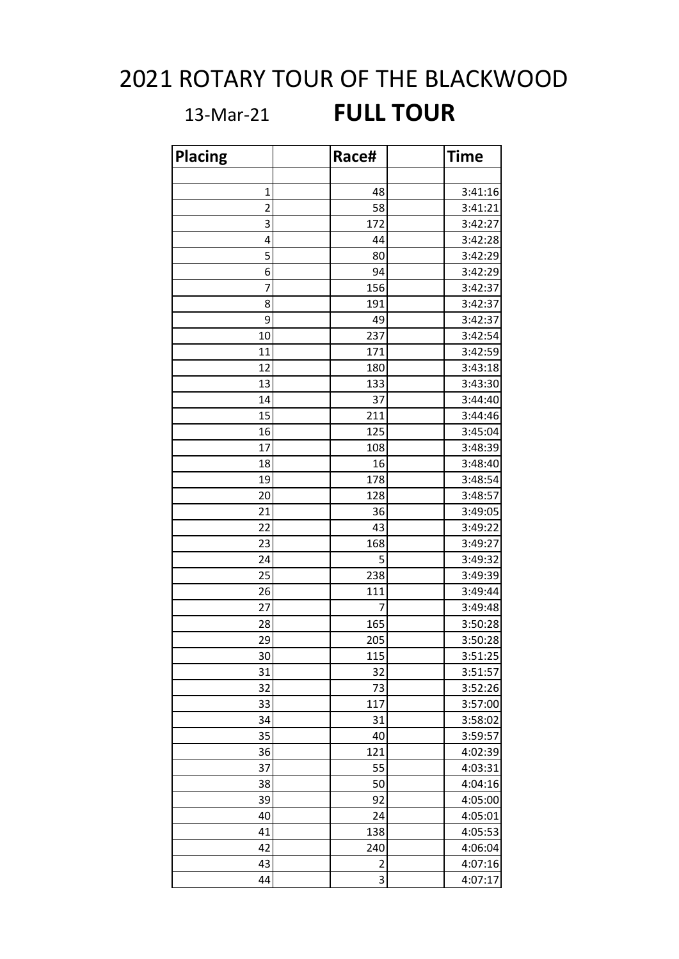## 2021 ROTARY TOUR OF THE BLACKWOOD

## 13-Mar-21 **FULL TOUR**

| <b>Placing</b> | Race#                   | <b>Time</b> |
|----------------|-------------------------|-------------|
|                |                         |             |
| 1              | 48                      | 3:41:16     |
| $\overline{c}$ | 58                      | 3:41:21     |
| 3              | 172                     | 3:42:27     |
| 4              | 44                      | 3:42:28     |
| 5              | 80                      | 3:42:29     |
| 6              | 94                      | 3:42:29     |
| 7              | 156                     | 3:42:37     |
| 8              | 191                     | 3:42:37     |
| 9              | 49                      | 3:42:37     |
| 10             | 237                     | 3:42:54     |
| 11             | 171                     | 3:42:59     |
| 12             | 180                     | 3:43:18     |
| 13             | 133                     | 3:43:30     |
| 14             | 37                      | 3:44:40     |
| 15             | 211                     | 3:44:46     |
| 16             | 125                     | 3:45:04     |
| 17             | 108                     | 3:48:39     |
| 18             | 16                      | 3:48:40     |
| 19             | 178                     | 3:48:54     |
| 20             | 128                     | 3:48:57     |
| 21             | 36                      | 3:49:05     |
| 22             | 43                      | 3:49:22     |
| 23             | 168                     | 3:49:27     |
| 24             | 5                       | 3:49:32     |
| 25             | 238                     | 3:49:39     |
| 26             | 111                     | 3:49:44     |
| 27             | 7                       | 3:49:48     |
| 28             | 165                     | 3:50:28     |
| 29             | 205                     | 3:50:28     |
| 30             | 115                     | 3:51:25     |
| 31             | 32                      | 3:51:57     |
| 32             | 73                      | 3:52:26     |
| 33             | 117                     | 3:57:00     |
| 34             | 31                      | 3:58:02     |
| 35             | 40                      | 3:59:57     |
| 36             | 121                     | 4:02:39     |
| 37             | 55                      | 4:03:31     |
| 38             | 50                      | 4:04:16     |
| 39             | 92                      | 4:05:00     |
| 40             | 24                      | 4:05:01     |
| 41             | 138                     | 4:05:53     |
| 42             | 240                     | 4:06:04     |
| 43             | $\overline{\mathbf{c}}$ | 4:07:16     |
| 44             | 3                       | 4:07:17     |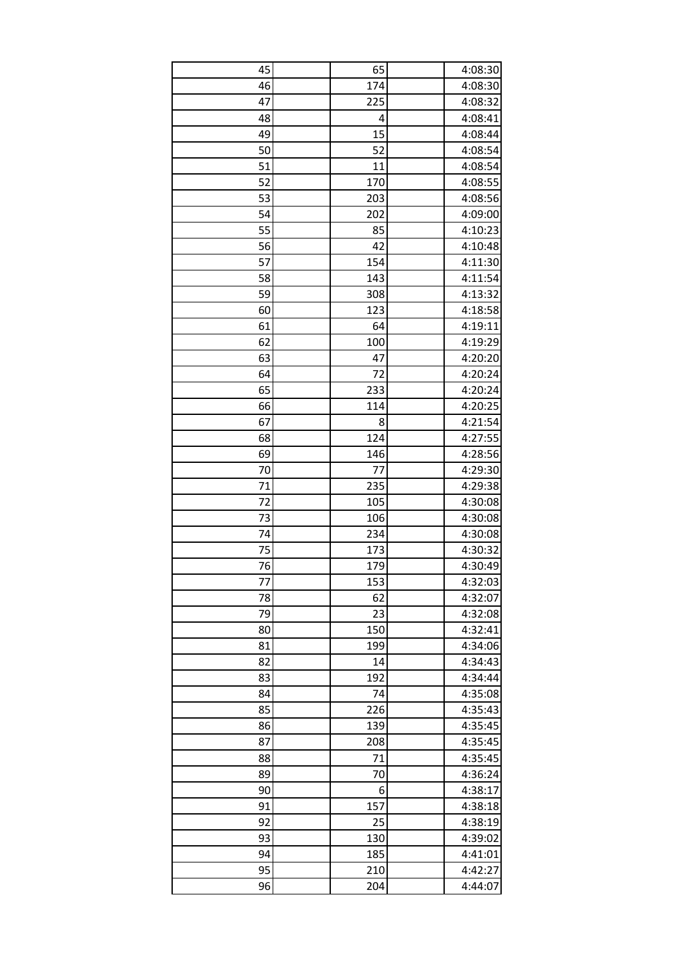| 45 | 65  | 4:08:30 |
|----|-----|---------|
| 46 | 174 | 4:08:30 |
| 47 | 225 | 4:08:32 |
| 48 | 4   | 4:08:41 |
| 49 | 15  | 4:08:44 |
| 50 | 52  | 4:08:54 |
| 51 | 11  | 4:08:54 |
| 52 | 170 | 4:08:55 |
| 53 | 203 | 4:08:56 |
| 54 | 202 | 4:09:00 |
| 55 | 85  | 4:10:23 |
| 56 | 42  | 4:10:48 |
| 57 | 154 | 4:11:30 |
| 58 | 143 | 4:11:54 |
| 59 | 308 | 4:13:32 |
| 60 | 123 | 4:18:58 |
| 61 | 64  | 4:19:11 |
| 62 | 100 | 4:19:29 |
| 63 | 47  | 4:20:20 |
| 64 | 72  | 4:20:24 |
| 65 | 233 | 4:20:24 |
| 66 | 114 | 4:20:25 |
| 67 | 8   | 4:21:54 |
| 68 | 124 | 4:27:55 |
| 69 | 146 | 4:28:56 |
| 70 | 77  | 4:29:30 |
| 71 | 235 | 4:29:38 |
| 72 | 105 | 4:30:08 |
| 73 | 106 | 4:30:08 |
| 74 | 234 | 4:30:08 |
| 75 | 173 | 4:30:32 |
| 76 | 179 | 4:30:49 |
| 77 | 153 | 4:32:03 |
| 78 | 62  | 4:32:07 |
| 79 | 23  | 4:32:08 |
| 80 | 150 | 4:32:41 |
| 81 | 199 | 4:34:06 |
| 82 | 14  | 4:34:43 |
| 83 | 192 | 4:34:44 |
| 84 | 74  | 4:35:08 |
| 85 | 226 | 4:35:43 |
| 86 | 139 | 4:35:45 |
| 87 | 208 | 4:35:45 |
| 88 | 71  | 4:35:45 |
| 89 | 70  | 4:36:24 |
| 90 | 6   | 4:38:17 |
| 91 | 157 | 4:38:18 |
| 92 | 25  | 4:38:19 |
| 93 | 130 | 4:39:02 |
| 94 | 185 | 4:41:01 |
| 95 | 210 | 4:42:27 |
| 96 | 204 | 4:44:07 |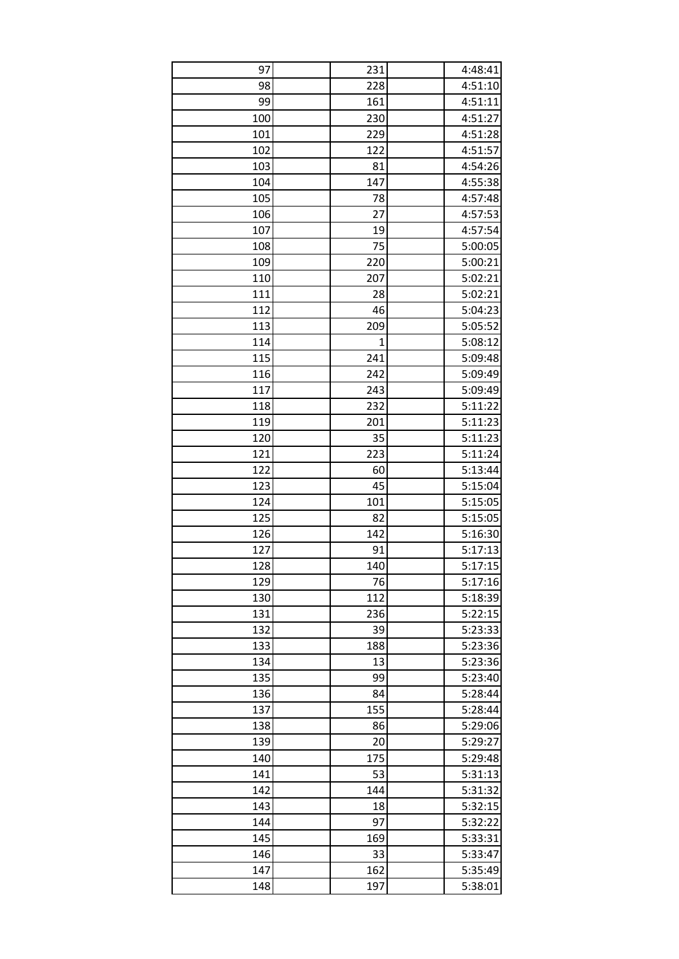| 97  | 231 | 4:48:41 |
|-----|-----|---------|
| 98  | 228 | 4:51:10 |
| 99  | 161 | 4:51:11 |
| 100 | 230 | 4:51:27 |
| 101 | 229 | 4:51:28 |
| 102 | 122 | 4:51:57 |
| 103 | 81  | 4:54:26 |
| 104 | 147 | 4:55:38 |
| 105 | 78  | 4:57:48 |
| 106 | 27  | 4:57:53 |
| 107 | 19  | 4:57:54 |
| 108 | 75  | 5:00:05 |
| 109 | 220 | 5:00:21 |
| 110 | 207 | 5:02:21 |
| 111 | 28  | 5:02:21 |
| 112 | 46  | 5:04:23 |
| 113 | 209 | 5:05:52 |
| 114 | 1   | 5:08:12 |
| 115 | 241 | 5:09:48 |
| 116 | 242 | 5:09:49 |
| 117 | 243 | 5:09:49 |
| 118 | 232 | 5:11:22 |
| 119 | 201 | 5:11:23 |
| 120 | 35  | 5:11:23 |
| 121 | 223 | 5:11:24 |
| 122 | 60  | 5:13:44 |
| 123 | 45  | 5:15:04 |
| 124 | 101 | 5:15:05 |
| 125 | 82  | 5:15:05 |
| 126 | 142 | 5:16:30 |
| 127 | 91  | 5:17:13 |
| 128 | 140 | 5:17:15 |
| 129 | 76  | 5:17:16 |
| 130 | 112 | 5:18:39 |
| 131 | 236 | 5:22:15 |
| 132 | 39  | 5:23:33 |
| 133 | 188 | 5:23:36 |
| 134 | 13  | 5:23:36 |
| 135 | 99  | 5:23:40 |
| 136 | 84  | 5:28:44 |
| 137 | 155 | 5:28:44 |
| 138 | 86  | 5:29:06 |
| 139 | 20  | 5:29:27 |
| 140 | 175 | 5:29:48 |
| 141 | 53  | 5:31:13 |
| 142 | 144 | 5:31:32 |
| 143 | 18  | 5:32:15 |
| 144 | 97  | 5:32:22 |
| 145 | 169 | 5:33:31 |
| 146 | 33  | 5:33:47 |
| 147 | 162 | 5:35:49 |
| 148 | 197 | 5:38:01 |